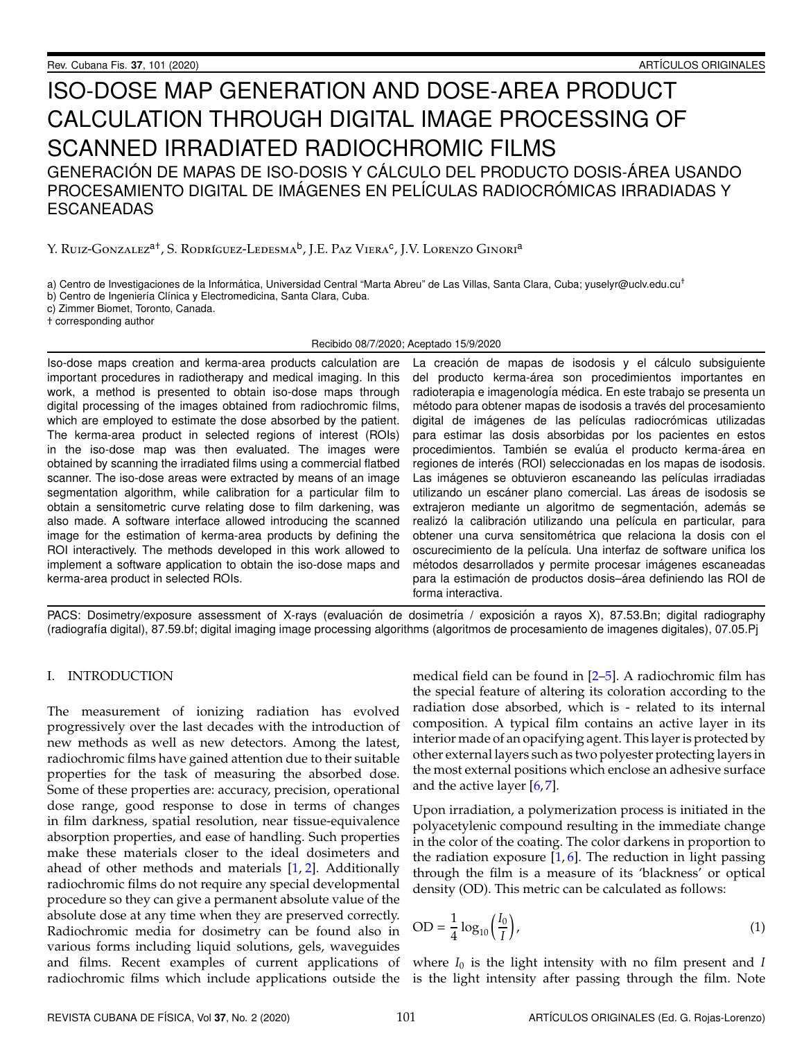# ISO-DOSE MAP GENERATION AND DOSE-AREA PRODUCT CALCULATION THROUGH DIGITAL IMAGE PROCESSING OF SCANNED IRRADIATED RADIOCHROMIC FILMS GENERACIÓN DE MAPAS DE ISO-DOSIS Y CÁLCULO DEL PRODUCTO DOSIS-ÁREA USANDO PROCESAMIENTO DIGITAL DE IMÁGENES EN PELÍCULAS RADIOCRÓMICAS IRRADIADAS Y ESCANEADAS

# Y. Ruiz-Gonzalez<sup>a†</sup>, S. Rodríguez-Ledesma<sup>b</sup>, J.E. Paz Viera<sup>c</sup>, J.V. Lorenzo Ginori<sup>a</sup>

a) Centro de Investigaciones de la Informática, Universidad Central "Marta Abreu" de Las Villas, Santa Clara, Cuba; yuselyr@uclv.edu.cu<sup>+</sup>

b) Centro de Ingeniería Clínica y Electromedicina, Santa Clara, Cuba.

c) Zimmer Biomet, Toronto, Canada.

† corresponding author

Recibido 08/7/2020; Aceptado 15/9/2020

Iso-dose maps creation and kerma-area products calculation are important procedures in radiotherapy and medical imaging. In this work, a method is presented to obtain iso-dose maps through digital processing of the images obtained from radiochromic films, which are employed to estimate the dose absorbed by the patient. The kerma-area product in selected regions of interest (ROIs) in the iso-dose map was then evaluated. The images were obtained by scanning the irradiated films using a commercial flatbed scanner. The iso-dose areas were extracted by means of an image segmentation algorithm, while calibration for a particular film to obtain a sensitometric curve relating dose to film darkening, was also made. A software interface allowed introducing the scanned image for the estimation of kerma-area products by defining the ROI interactively. The methods developed in this work allowed to implement a software application to obtain the iso-dose maps and kerma-area product in selected ROIs.

La creación de mapas de isodosis y el cálculo subsiguiente del producto kerma-área son procedimientos importantes en radioterapia e imagenología médica. En este trabajo se presenta un método para obtener mapas de isodosis a través del procesamiento digital de imágenes de las películas radiocrómicas utilizadas para estimar las dosis absorbidas por los pacientes en estos procedimientos. También se evalúa el producto kerma-área en regiones de interés (ROI) seleccionadas en los mapas de isodosis. Las imágenes se obtuvieron escaneando las películas irradiadas utilizando un escáner plano comercial. Las áreas de isodosis se extrajeron mediante un algoritmo de segmentación, además se realizó la calibración utilizando una película en particular, para obtener una curva sensitométrica que relaciona la dosis con el oscurecimiento de la película. Una interfaz de software unifica los métodos desarrollados y permite procesar imágenes escaneadas para la estimación de productos dosis-área definiendo las ROI de forma interactiva.

PACS: Dosimetry/exposure assessment of X-rays (evaluación de dosimetría / exposición a rayos X), 87.53.Bn; digital radiography (radiograf´ıa digital), 87.59.bf; digital imaging image processing algorithms (algoritmos de procesamiento de imagenes digitales), 07.05.Pj

#### I. INTRODUCTION

The measurement of ionizing radiation has evolved progressively over the last decades with the introduction of new methods as well as new detectors. Among the latest, radiochromic films have gained attention due to their suitable properties for the task of measuring the absorbed dose. Some of these properties are: accuracy, precision, operational dose range, good response to dose in terms of changes in film darkness, spatial resolution, near tissue-equivalence absorption properties, and ease of handling. Such properties make these materials closer to the ideal dosimeters and ahead of other methods and materials [\[1,](#page-6-0) [2\]](#page-6-1). Additionally radiochromic films do not require any special developmental procedure so they can give a permanent absolute value of the absolute dose at any time when they are preserved correctly. Radiochromic media for dosimetry can be found also in various forms including liquid solutions, gels, waveguides and films. Recent examples of current applications of radiochromic films which include applications outside the is the light intensity after passing through the film. Note

medical field can be found in  $[2-5]$  $[2-5]$ . A radiochromic film has the special feature of altering its coloration according to the radiation dose absorbed, which is - related to its internal composition. A typical film contains an active layer in its interior made of an opacifying agent. This layer is protected by other external layers such as two polyester protecting layers in the most external positions which enclose an adhesive surface and the active layer [\[6,](#page-6-3)[7\]](#page-6-4).

Upon irradiation, a polymerization process is initiated in the polyacetylenic compound resulting in the immediate change in the color of the coating. The color darkens in proportion to the radiation exposure  $[1, 6]$  $[1, 6]$  $[1, 6]$ . The reduction in light passing through the film is a measure of its 'blackness' or optical density (OD). This metric can be calculated as follows:

$$
OD = \frac{1}{4} \log_{10} \left( \frac{I_0}{I} \right),\tag{1}
$$

where  $I_0$  is the light intensity with no film present and  $I$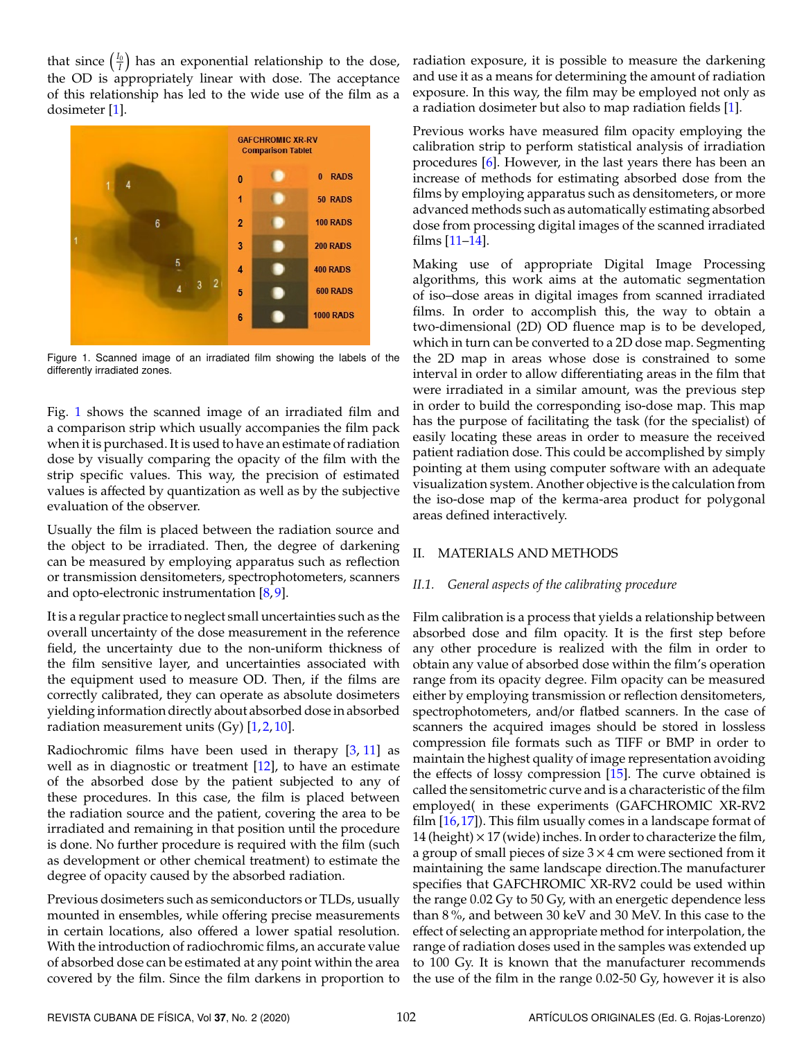that since  $\left(\frac{I_0}{I}\right)$  has an exponential relationship to the dose, the OD is appropriately linear with dose. The acceptance of this relationship has led to the wide use of the film as a dosimeter [\[1\]](#page-6-0).

<span id="page-1-0"></span>

Figure 1. Scanned image of an irradiated film showing the labels of the differently irradiated zones.

Fig. [1](#page-1-0) shows the scanned image of an irradiated film and a comparison strip which usually accompanies the film pack when it is purchased. It is used to have an estimate of radiation dose by visually comparing the opacity of the film with the strip specific values. This way, the precision of estimated values is affected by quantization as well as by the subjective evaluation of the observer.

Usually the film is placed between the radiation source and the object to be irradiated. Then, the degree of darkening can be measured by employing apparatus such as reflection or transmission densitometers, spectrophotometers, scanners and opto-electronic instrumentation [\[8,](#page-6-5) [9\]](#page-6-6).

It is a regular practice to neglect small uncertainties such as the overall uncertainty of the dose measurement in the reference field, the uncertainty due to the non-uniform thickness of the film sensitive layer, and uncertainties associated with the equipment used to measure OD. Then, if the films are correctly calibrated, they can operate as absolute dosimeters yielding information directly about absorbed dose in absorbed radiation measurement units  $(Gy)$  [\[1,](#page-6-0)[2,](#page-6-1)[10\]](#page-6-7).

Radiochromic films have been used in therapy  $[3, 11]$  $[3, 11]$  $[3, 11]$  as well as in diagnostic or treatment [\[12\]](#page-6-10), to have an estimate of the absorbed dose by the patient subjected to any of these procedures. In this case, the film is placed between the radiation source and the patient, covering the area to be irradiated and remaining in that position until the procedure is done. No further procedure is required with the film (such as development or other chemical treatment) to estimate the degree of opacity caused by the absorbed radiation.

Previous dosimeters such as semiconductors or TLDs, usually mounted in ensembles, while offering precise measurements in certain locations, also offered a lower spatial resolution. With the introduction of radiochromic films, an accurate value of absorbed dose can be estimated at any point within the area covered by the film. Since the film darkens in proportion to radiation exposure, it is possible to measure the darkening and use it as a means for determining the amount of radiation exposure. In this way, the film may be employed not only as a radiation dosimeter but also to map radiation fields [\[1\]](#page-6-0).

Previous works have measured film opacity employing the calibration strip to perform statistical analysis of irradiation procedures [\[6\]](#page-6-3). However, in the last years there has been an increase of methods for estimating absorbed dose from the films by employing apparatus such as densitometers, or more advanced methods such as automatically estimating absorbed dose from processing digital images of the scanned irradiated films [\[11](#page-6-9)[–14\]](#page-6-11).

Making use of appropriate Digital Image Processing algorithms, this work aims at the automatic segmentation of iso–dose areas in digital images from scanned irradiated films. In order to accomplish this, the way to obtain a two-dimensional (2D) OD fluence map is to be developed, which in turn can be converted to a 2D dose map. Segmenting the 2D map in areas whose dose is constrained to some interval in order to allow differentiating areas in the film that were irradiated in a similar amount, was the previous step in order to build the corresponding iso-dose map. This map has the purpose of facilitating the task (for the specialist) of easily locating these areas in order to measure the received patient radiation dose. This could be accomplished by simply pointing at them using computer software with an adequate visualization system. Another objective is the calculation from the iso-dose map of the kerma-area product for polygonal areas defined interactively.

# II. MATERIALS AND METHODS

## *II.1. General aspects of the calibrating procedure*

Film calibration is a process that yields a relationship between absorbed dose and film opacity. It is the first step before any other procedure is realized with the film in order to obtain any value of absorbed dose within the film's operation range from its opacity degree. Film opacity can be measured either by employing transmission or reflection densitometers, spectrophotometers, and/or flatbed scanners. In the case of scanners the acquired images should be stored in lossless compression file formats such as TIFF or BMP in order to maintain the highest quality of image representation avoiding the effects of lossy compression [\[15\]](#page-6-12). The curve obtained is called the sensitometric curve and is a characteristic of the film employed( in these experiments (GAFCHROMIC XR-RV2 film  $[16,17]$  $[16,17]$ ). This film usually comes in a landscape format of 14 (height)  $\times$  17 (wide) inches. In order to characterize the film, a group of small pieces of size  $3 \times 4$  cm were sectioned from it maintaining the same landscape direction.The manufacturer specifies that GAFCHROMIC XR-RV2 could be used within the range 0.02 Gy to 50 Gy, with an energetic dependence less than 8 %, and between 30 keV and 30 MeV. In this case to the effect of selecting an appropriate method for interpolation, the range of radiation doses used in the samples was extended up to 100 Gy. It is known that the manufacturer recommends the use of the film in the range 0.02-50 Gy, however it is also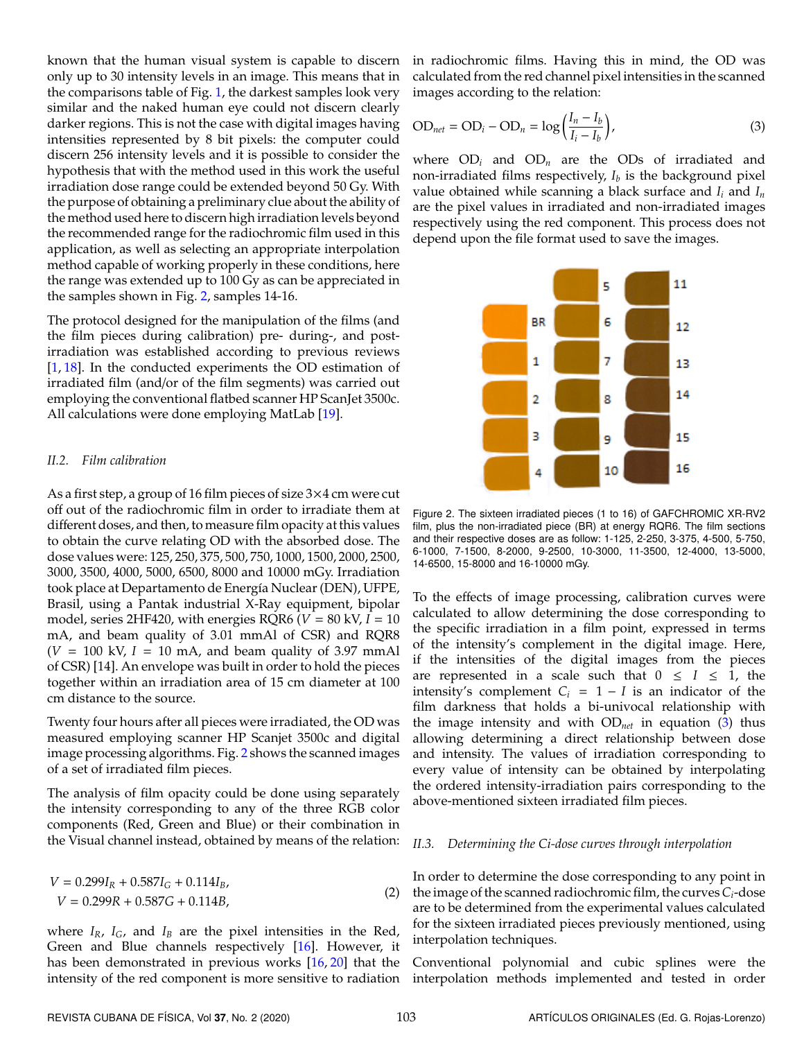known that the human visual system is capable to discern only up to 30 intensity levels in an image. This means that in the comparisons table of Fig. [1,](#page-1-0) the darkest samples look very similar and the naked human eye could not discern clearly darker regions. This is not the case with digital images having intensities represented by 8 bit pixels: the computer could discern 256 intensity levels and it is possible to consider the hypothesis that with the method used in this work the useful irradiation dose range could be extended beyond 50 Gy. With the purpose of obtaining a preliminary clue about the ability of the method used here to discern high irradiation levels beyond the recommended range for the radiochromic film used in this application, as well as selecting an appropriate interpolation method capable of working properly in these conditions, here the range was extended up to 100 Gy as can be appreciated in the samples shown in Fig. [2,](#page-2-0) samples 14-16.

The protocol designed for the manipulation of the films (and the film pieces during calibration) pre- during-, and postirradiation was established according to previous reviews [\[1,](#page-6-0) [18\]](#page-6-15). In the conducted experiments the OD estimation of irradiated film (and/or of the film segments) was carried out employing the conventional flatbed scanner HP ScanJet 3500c. All calculations were done employing MatLab [\[19\]](#page-6-16).

#### *II.2. Film calibration*

As a first step, a group of 16 film pieces of size 3×4 cm were cut off out of the radiochromic film in order to irradiate them at different doses, and then, to measure film opacity at this values to obtain the curve relating OD with the absorbed dose. The dose values were: 125, 250, 375, 500, 750, 1000, 1500, 2000, 2500, 3000, 3500, 4000, 5000, 6500, 8000 and 10000 mGy. Irradiation took place at Departamento de Energía Nuclear (DEN), UFPE, Brasil, using a Pantak industrial X-Ray equipment, bipolar model, series 2HF420, with energies RQR6 ( $V = 80$  kV,  $I = 10$ ) mA, and beam quality of 3.01 mmAl of CSR) and RQR8  $(V = 100 \text{ kV}, I = 10 \text{ mA}$ , and beam quality of 3.97 mmAl of CSR) [14]. An envelope was built in order to hold the pieces together within an irradiation area of 15 cm diameter at 100 cm distance to the source.

Twenty four hours after all pieces were irradiated, the OD was measured employing scanner HP Scanjet 3500c and digital image processing algorithms. Fig. [2](#page-2-0) shows the scanned images of a set of irradiated film pieces.

The analysis of film opacity could be done using separately the intensity corresponding to any of the three RGB color components (Red, Green and Blue) or their combination in the Visual channel instead, obtained by means of the relation:

$$
V = 0.299I_R + 0.587I_G + 0.114I_B,
$$
  
\n
$$
V = 0.299R + 0.587G + 0.114B,
$$
\n(2)

where  $I_R$ ,  $I_G$ , and  $I_B$  are the pixel intensities in the Red, Green and Blue channels respectively [\[16\]](#page-6-13). However, it has been demonstrated in previous works [\[16,](#page-6-13) [20\]](#page-6-17) that the intensity of the red component is more sensitive to radiation in radiochromic films. Having this in mind, the OD was calculated from the red channel pixel intensities in the scanned images according to the relation:

<span id="page-2-1"></span>
$$
OD_{net} = OD_i - OD_n = \log\left(\frac{I_n - I_b}{I_i - I_b}\right),\tag{3}
$$

where  $OD_i$  and  $OD_n$  are the  $ODs$  of irradiated and non-irradiated films respectively,  $I_b$  is the background pixel value obtained while scanning a black surface and *I<sup>i</sup>* and *I<sup>n</sup>* are the pixel values in irradiated and non-irradiated images respectively using the red component. This process does not depend upon the file format used to save the images.

<span id="page-2-0"></span>

Figure 2. The sixteen irradiated pieces (1 to 16) of GAFCHROMIC XR-RV2 film, plus the non-irradiated piece (BR) at energy RQR6. The film sections and their respective doses are as follow: 1-125, 2-250, 3-375, 4-500, 5-750, 6-1000, 7-1500, 8-2000, 9-2500, 10-3000, 11-3500, 12-4000, 13-5000, 14-6500, 15-8000 and 16-10000 mGy.

To the effects of image processing, calibration curves were calculated to allow determining the dose corresponding to the specific irradiation in a film point, expressed in terms of the intensity's complement in the digital image. Here, if the intensities of the digital images from the pieces are represented in a scale such that  $0 \leq I \leq 1$ , the intensity's complement  $C_i = 1 - I$  is an indicator of the film darkness that holds a bi-univocal relationship with the image intensity and with OD*net* in equation [\(3\)](#page-2-1) thus allowing determining a direct relationship between dose and intensity. The values of irradiation corresponding to every value of intensity can be obtained by interpolating the ordered intensity-irradiation pairs corresponding to the above-mentioned sixteen irradiated film pieces.

#### *II.3. Determining the Ci-dose curves through interpolation*

In order to determine the dose corresponding to any point in the image of the scanned radiochromic film, the curves*Ci*-dose are to be determined from the experimental values calculated for the sixteen irradiated pieces previously mentioned, using interpolation techniques.

Conventional polynomial and cubic splines were the interpolation methods implemented and tested in order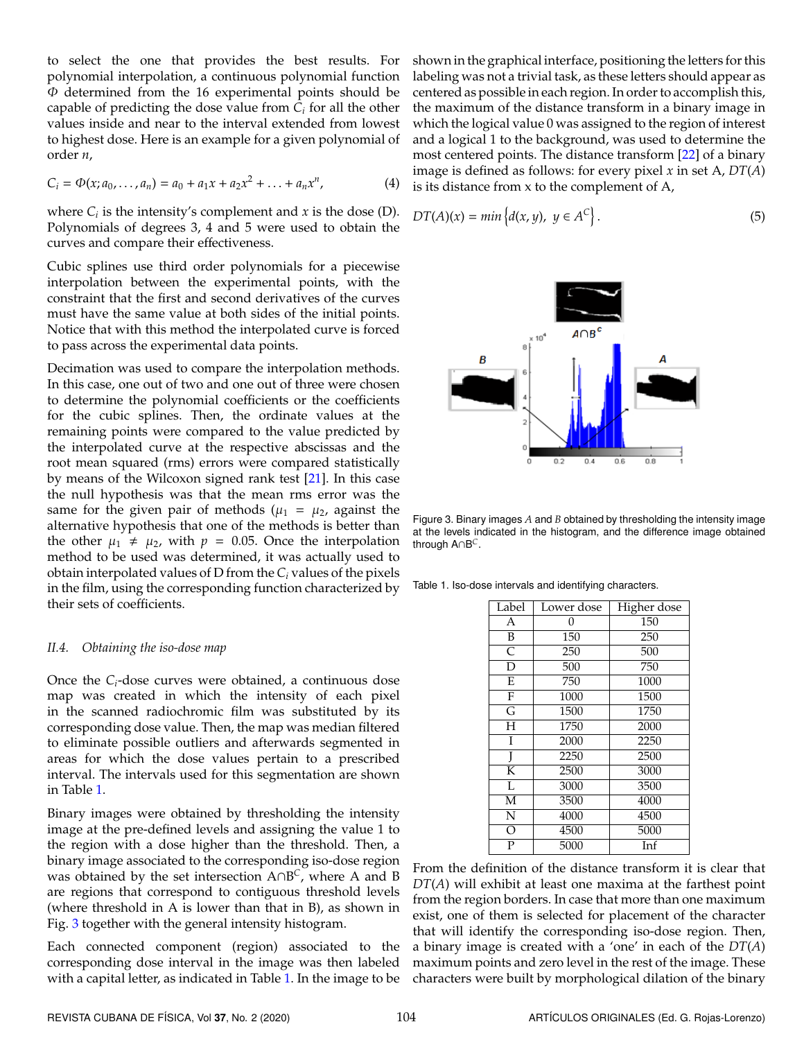to select the one that provides the best results. For polynomial interpolation, a continuous polynomial function  $\Phi$  determined from the 16 experimental points should be capable of predicting the dose value from *C<sup>i</sup>* for all the other values inside and near to the interval extended from lowest to highest dose. Here is an example for a given polynomial of order *n*,

$$
C_i = \Phi(x; a_0, \dots, a_n) = a_0 + a_1 x + a_2 x^2 + \dots + a_n x^n, \tag{4}
$$

where  $C_i$  is the intensity's complement and  $x$  is the dose (D). Polynomials of degrees 3, 4 and 5 were used to obtain the curves and compare their effectiveness.

Cubic splines use third order polynomials for a piecewise interpolation between the experimental points, with the constraint that the first and second derivatives of the curves must have the same value at both sides of the initial points. Notice that with this method the interpolated curve is forced to pass across the experimental data points.

Decimation was used to compare the interpolation methods. In this case, one out of two and one out of three were chosen to determine the polynomial coefficients or the coefficients for the cubic splines. Then, the ordinate values at the remaining points were compared to the value predicted by the interpolated curve at the respective abscissas and the root mean squared (rms) errors were compared statistically by means of the Wilcoxon signed rank test [\[21\]](#page-6-18). In this case the null hypothesis was that the mean rms error was the same for the given pair of methods ( $\mu_1 = \mu_2$ , against the alternative hypothesis that one of the methods is better than the other  $\mu_1 \neq \mu_2$ , with  $p = 0.05$ . Once the interpolation method to be used was determined, it was actually used to obtain interpolated values of D from the *C<sup>i</sup>* values of the pixels in the film, using the corresponding function characterized by their sets of coefficients.

#### *II.4. Obtaining the iso-dose map*

Once the *Ci*-dose curves were obtained, a continuous dose map was created in which the intensity of each pixel in the scanned radiochromic film was substituted by its corresponding dose value. Then, the map was median filtered to eliminate possible outliers and afterwards segmented in areas for which the dose values pertain to a prescribed interval. The intervals used for this segmentation are shown in Table [1.](#page-3-0)

Binary images were obtained by thresholding the intensity image at the pre-defined levels and assigning the value 1 to the region with a dose higher than the threshold. Then, a binary image associated to the corresponding iso-dose region was obtained by the set intersection A∩B *C* , where A and B are regions that correspond to contiguous threshold levels (where threshold in A is lower than that in B), as shown in Fig. [3](#page-3-1) together with the general intensity histogram.

Each connected component (region) associated to the corresponding dose interval in the image was then labeled with a capital letter, as indicated in Table [1.](#page-3-0) In the image to be

shown in the graphical interface, positioning the letters for this labeling was not a trivial task, as these letters should appear as centered as possible in each region. In order to accomplish this, the maximum of the distance transform in a binary image in which the logical value 0 was assigned to the region of interest and a logical 1 to the background, was used to determine the most centered points. The distance transform [\[22\]](#page-6-19) of a binary image is defined as follows: for every pixel *x* in set A, *DT*(*A*) is its distance from x to the complement of A,

<span id="page-3-1"></span>
$$
DT(A)(x) = min\left\{d(x, y), y \in A^{C}\right\}.
$$
\n(5)



Figure 3. Binary images *A* and *B* obtained by thresholding the intensity image at the levels indicated in the histogram, and the difference image obtained through A∩B *C*.

<span id="page-3-0"></span>Table 1. Iso-dose intervals and identifying characters.

| Label                   | Lower dose | Higher dose |
|-------------------------|------------|-------------|
| A                       | 0          | 150         |
| B                       | 150        | 250         |
| $\overline{\mathsf{C}}$ | 250        | 500         |
| D                       | 500        | 750         |
| $\overline{E}$          | 750        | 1000        |
| $\overline{F}$          | 1000       | 1500        |
| $\overline{\mathsf{G}}$ | 1500       | 1750        |
| $\overline{H}$          | 1750       | 2000        |
| I                       | 2000       | 2250        |
| J                       | 2250       | 2500        |
| K                       | 2500       | 3000        |
| L                       | 3000       | 3500        |
| $\overline{\mathbf{M}}$ | 3500       | 4000        |
| N                       | 4000       | 4500        |
| $\overline{\rm O}$      | 4500       | 5000        |
| $\overline{P}$          | 5000       | Inf         |

From the definition of the distance transform it is clear that *DT*(*A*) will exhibit at least one maxima at the farthest point from the region borders. In case that more than one maximum exist, one of them is selected for placement of the character that will identify the corresponding iso-dose region. Then, a binary image is created with a 'one' in each of the *DT*(*A*) maximum points and zero level in the rest of the image. These characters were built by morphological dilation of the binary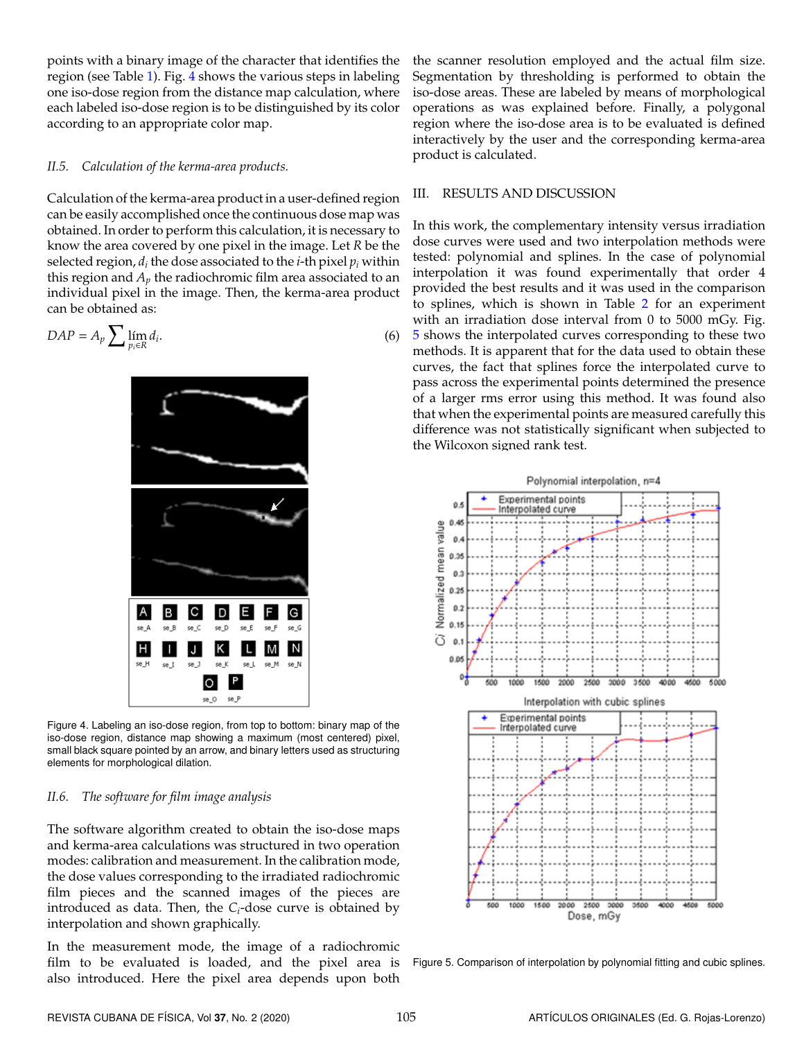points with a binary image of the character that identifies the region (see Table [1\)](#page-3-0). Fig. [4](#page-4-0) shows the various steps in labeling one iso-dose region from the distance map calculation, where each labeled iso-dose region is to be distinguished by its color according to an appropriate color map.

#### *II.5. Calculation of the kerma-area products.*

Calculation of the kerma-area product in a user-defined region can be easily accomplished once the continuous dose map was obtained. In order to perform this calculation, it is necessary to know the area covered by one pixel in the image. Let *R* be the selected region,  $d_i$  the dose associated to the *i*-th pixel  $p_i$  within this region and  $A_p$  the radiochromic film area associated to an individual pixel in the image. Then, the kerma-area product can be obtained as:

<span id="page-4-0"></span>
$$
DAP = A_p \sum \lim_{p_i \in R} d_i.
$$
 (6)



Figure 4. Labeling an iso-dose region, from top to bottom: binary map of the iso-dose region, distance map showing a maximum (most centered) pixel, small black square pointed by an arrow, and binary letters used as structuring elements for morphological dilation.

#### *II.6. The software for film image analysis*

The software algorithm created to obtain the iso-dose maps and kerma-area calculations was structured in two operation modes: calibration and measurement. In the calibration mode, the dose values corresponding to the irradiated radiochromic film pieces and the scanned images of the pieces are introduced as data. Then, the *Ci*-dose curve is obtained by interpolation and shown graphically.

In the measurement mode, the image of a radiochromic film to be evaluated is loaded, and the pixel area is also introduced. Here the pixel area depends upon both

the scanner resolution employed and the actual film size. Segmentation by thresholding is performed to obtain the iso-dose areas. These are labeled by means of morphological operations as was explained before. Finally, a polygonal region where the iso-dose area is to be evaluated is defined interactively by the user and the corresponding kerma-area product is calculated.

#### III. RESULTS AND DISCUSSION

In this work, the complementary intensity versus irradiation dose curves were used and two interpolation methods were tested: polynomial and splines. In the case of polynomial interpolation it was found experimentally that order 4 provided the best results and it was used in the comparison to splines, which is shown in Table [2](#page-5-0) for an experiment with an irradiation dose interval from 0 to 5000 mGy. Fig. [5](#page-4-1) shows the interpolated curves corresponding to these two methods. It is apparent that for the data used to obtain these curves, the fact that splines force the interpolated curve to pass across the experimental points determined the presence of a larger rms error using this method. It was found also that when the experimental points are measured carefully this difference was not statistically significant when subjected to the Wilcoxon signed rank test.

<span id="page-4-1"></span>

Figure 5. Comparison of interpolation by polynomial fitting and cubic splines.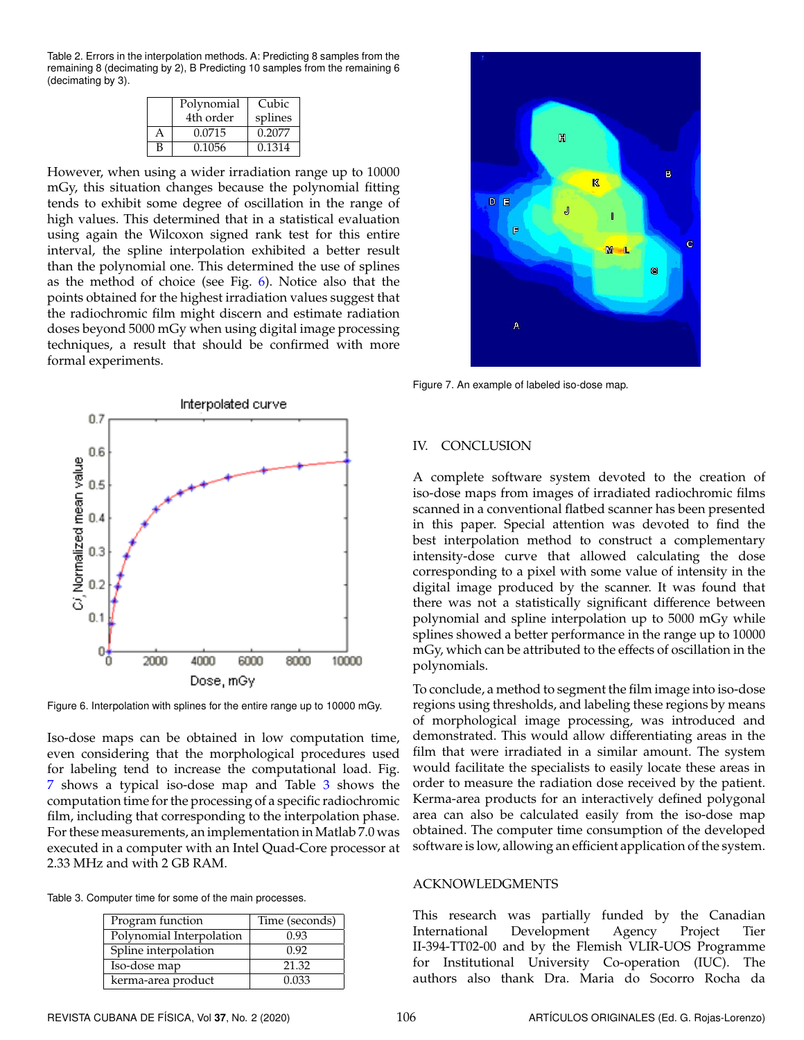<span id="page-5-0"></span>Table 2. Errors in the interpolation methods. A: Predicting 8 samples from the remaining 8 (decimating by 2), B Predicting 10 samples from the remaining 6 (decimating by 3).

|   | Polynomial | Cubic   |
|---|------------|---------|
|   | 4th order  | splines |
| A | 0.0715     | 0.2077  |
| B | 0.1056     | 0.1314  |

However, when using a wider irradiation range up to 10000 mGy, this situation changes because the polynomial fitting tends to exhibit some degree of oscillation in the range of high values. This determined that in a statistical evaluation using again the Wilcoxon signed rank test for this entire interval, the spline interpolation exhibited a better result than the polynomial one. This determined the use of splines as the method of choice (see Fig. [6\)](#page-5-1). Notice also that the points obtained for the highest irradiation values suggest that the radiochromic film might discern and estimate radiation doses beyond 5000 mGy when using digital image processing techniques, a result that should be confirmed with more formal experiments.

<span id="page-5-1"></span>

Figure 6. Interpolation with splines for the entire range up to 10000 mGy.

Iso-dose maps can be obtained in low computation time, even considering that the morphological procedures used for labeling tend to increase the computational load. Fig. [7](#page-5-2) shows a typical iso-dose map and Table [3](#page-5-3) shows the computation time for the processing of a specific radiochromic film, including that corresponding to the interpolation phase. For these measurements, an implementation in Matlab 7.0 was executed in a computer with an Intel Quad-Core processor at 2.33 MHz and with 2 GB RAM.

<span id="page-5-3"></span>Table 3. Computer time for some of the main processes.

| Program function         | Time (seconds) |
|--------------------------|----------------|
| Polynomial Interpolation | 0.93           |
| Spline interpolation     | 0.92           |
| Iso-dose map             | 21.32          |
| kerma-area product       | 0.033          |

<span id="page-5-2"></span>

Figure 7. An example of labeled iso-dose map.

#### IV. CONCLUSION

A complete software system devoted to the creation of iso-dose maps from images of irradiated radiochromic films scanned in a conventional flatbed scanner has been presented in this paper. Special attention was devoted to find the best interpolation method to construct a complementary intensity-dose curve that allowed calculating the dose corresponding to a pixel with some value of intensity in the digital image produced by the scanner. It was found that there was not a statistically significant difference between polynomial and spline interpolation up to 5000 mGy while splines showed a better performance in the range up to 10000 mGy, which can be attributed to the effects of oscillation in the polynomials.

To conclude, a method to segment the film image into iso-dose regions using thresholds, and labeling these regions by means of morphological image processing, was introduced and demonstrated. This would allow differentiating areas in the film that were irradiated in a similar amount. The system would facilitate the specialists to easily locate these areas in order to measure the radiation dose received by the patient. Kerma-area products for an interactively defined polygonal area can also be calculated easily from the iso-dose map obtained. The computer time consumption of the developed software is low, allowing an efficient application of the system.

#### ACKNOWLEDGMENTS

This research was partially funded by the Canadian International Development Agency Project Tier II-394-TT02-00 and by the Flemish VLIR-UOS Programme for Institutional University Co-operation (IUC). The authors also thank Dra. Maria do Socorro Rocha da